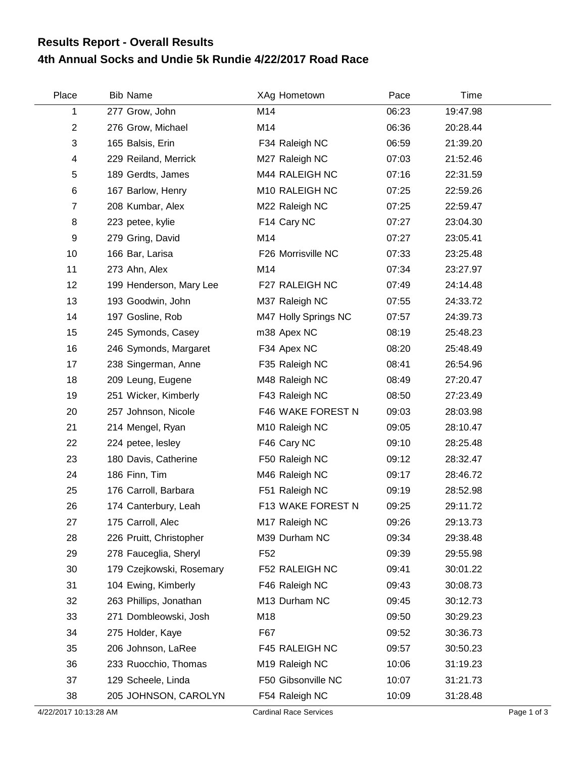## **4th Annual Socks and Undie 5k Rundie 4/22/2017 Road Race Results Report - Overall Results**

| Place          | <b>Bib Name</b>          | XAg Hometown               | Pace  | Time     |  |
|----------------|--------------------------|----------------------------|-------|----------|--|
| 1              | 277 Grow, John           | M14                        | 06:23 | 19:47.98 |  |
| 2              | 276 Grow, Michael        | M14                        | 06:36 | 20:28.44 |  |
| 3              | 165 Balsis, Erin         | F34 Raleigh NC             | 06:59 | 21:39.20 |  |
| 4              | 229 Reiland, Merrick     | M27 Raleigh NC             | 07:03 | 21:52.46 |  |
| 5              | 189 Gerdts, James        | M44 RALEIGH NC             | 07:16 | 22:31.59 |  |
| 6              | 167 Barlow, Henry        | M10 RALEIGH NC             | 07:25 | 22:59.26 |  |
| $\overline{7}$ | 208 Kumbar, Alex         | M22 Raleigh NC             | 07:25 | 22:59.47 |  |
| 8              | 223 petee, kylie         | F14 Cary NC                | 07:27 | 23:04.30 |  |
| 9              | 279 Gring, David         | M14                        | 07:27 | 23:05.41 |  |
| 10             | 166 Bar, Larisa          | F26 Morrisville NC         | 07:33 | 23:25.48 |  |
| 11             | 273 Ahn, Alex            | M14                        | 07:34 | 23:27.97 |  |
| 12             | 199 Henderson, Mary Lee  | F27 RALEIGH NC             | 07:49 | 24:14.48 |  |
| 13             | 193 Goodwin, John        | M37 Raleigh NC             | 07:55 | 24:33.72 |  |
| 14             | 197 Gosline, Rob         | M47 Holly Springs NC       | 07:57 | 24:39.73 |  |
| 15             | 245 Symonds, Casey       | m38 Apex NC                | 08:19 | 25:48.23 |  |
| 16             | 246 Symonds, Margaret    | F34 Apex NC                | 08:20 | 25:48.49 |  |
| 17             | 238 Singerman, Anne      | F35 Raleigh NC             | 08:41 | 26:54.96 |  |
| 18             | 209 Leung, Eugene        | M48 Raleigh NC             | 08:49 | 27:20.47 |  |
| 19             | 251 Wicker, Kimberly     | F43 Raleigh NC             | 08:50 | 27:23.49 |  |
| 20             | 257 Johnson, Nicole      | F46 WAKE FOREST N          | 09:03 | 28:03.98 |  |
| 21             | 214 Mengel, Ryan         | M <sub>10</sub> Raleigh NC | 09:05 | 28:10.47 |  |
| 22             | 224 petee, lesley        | F46 Cary NC                | 09:10 | 28:25.48 |  |
| 23             | 180 Davis, Catherine     | F50 Raleigh NC             | 09:12 | 28:32.47 |  |
| 24             | 186 Finn, Tim            | M46 Raleigh NC             | 09:17 | 28:46.72 |  |
| 25             | 176 Carroll, Barbara     | F51 Raleigh NC             | 09:19 | 28:52.98 |  |
| 26             | 174 Canterbury, Leah     | F13 WAKE FOREST N          | 09:25 | 29:11.72 |  |
| 27             | 175 Carroll, Alec        | M17 Raleigh NC             | 09:26 | 29:13.73 |  |
| 28             | 226 Pruitt, Christopher  | M39 Durham NC              | 09:34 | 29:38.48 |  |
| 29             | 278 Fauceglia, Sheryl    | F <sub>52</sub>            | 09:39 | 29:55.98 |  |
| 30             | 179 Czejkowski, Rosemary | F52 RALEIGH NC             | 09:41 | 30:01.22 |  |
| 31             | 104 Ewing, Kimberly      | F46 Raleigh NC             | 09:43 | 30:08.73 |  |
| 32             | 263 Phillips, Jonathan   | M13 Durham NC              | 09:45 | 30:12.73 |  |
| 33             | 271 Dombleowski, Josh    | M18                        | 09:50 | 30:29.23 |  |
| 34             | 275 Holder, Kaye         | F67                        | 09:52 | 30:36.73 |  |
| 35             | 206 Johnson, LaRee       | F45 RALEIGH NC             | 09:57 | 30:50.23 |  |
| 36             | 233 Ruocchio, Thomas     | M19 Raleigh NC             | 10:06 | 31:19.23 |  |
| 37             | 129 Scheele, Linda       | F50 Gibsonville NC         | 10:07 | 31:21.73 |  |
| 38             | 205 JOHNSON, CAROLYN     | F54 Raleigh NC             | 10:09 | 31:28.48 |  |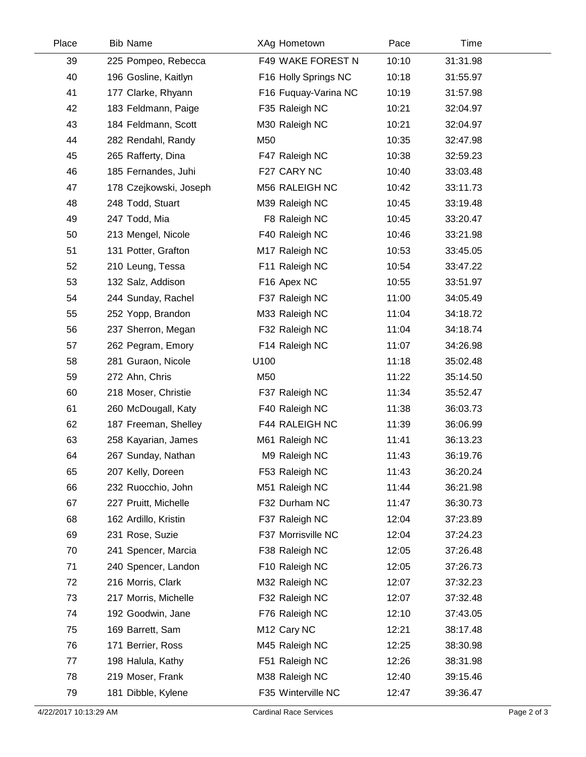| Place | <b>Bib Name</b>        | XAg Hometown            | Pace  | Time     |  |
|-------|------------------------|-------------------------|-------|----------|--|
| 39    | 225 Pompeo, Rebecca    | F49 WAKE FOREST N       | 10:10 | 31:31.98 |  |
| 40    | 196 Gosline, Kaitlyn   | F16 Holly Springs NC    | 10:18 | 31:55.97 |  |
| 41    | 177 Clarke, Rhyann     | F16 Fuquay-Varina NC    | 10:19 | 31:57.98 |  |
| 42    | 183 Feldmann, Paige    | F35 Raleigh NC          | 10:21 | 32:04.97 |  |
| 43    | 184 Feldmann, Scott    | M30 Raleigh NC          | 10:21 | 32:04.97 |  |
| 44    | 282 Rendahl, Randy     | M50                     | 10:35 | 32:47.98 |  |
| 45    | 265 Rafferty, Dina     | F47 Raleigh NC          | 10:38 | 32:59.23 |  |
| 46    | 185 Fernandes, Juhi    | F27 CARY NC             | 10:40 | 33:03.48 |  |
| 47    | 178 Czejkowski, Joseph | M56 RALEIGH NC          | 10:42 | 33:11.73 |  |
| 48    | 248 Todd, Stuart       | M39 Raleigh NC          | 10:45 | 33:19.48 |  |
| 49    | 247 Todd, Mia          | F8 Raleigh NC           | 10:45 | 33:20.47 |  |
| 50    | 213 Mengel, Nicole     | F40 Raleigh NC          | 10:46 | 33:21.98 |  |
| 51    | 131 Potter, Grafton    | M17 Raleigh NC          | 10:53 | 33:45.05 |  |
| 52    | 210 Leung, Tessa       | F11 Raleigh NC          | 10:54 | 33:47.22 |  |
| 53    | 132 Salz, Addison      | F16 Apex NC             | 10:55 | 33:51.97 |  |
| 54    | 244 Sunday, Rachel     | F37 Raleigh NC          | 11:00 | 34:05.49 |  |
| 55    | 252 Yopp, Brandon      | M33 Raleigh NC          | 11:04 | 34:18.72 |  |
| 56    | 237 Sherron, Megan     | F32 Raleigh NC          | 11:04 | 34:18.74 |  |
| 57    | 262 Pegram, Emory      | F14 Raleigh NC          | 11:07 | 34:26.98 |  |
| 58    | 281 Guraon, Nicole     | U100                    | 11:18 | 35:02.48 |  |
| 59    | 272 Ahn, Chris         | M50                     | 11:22 | 35:14.50 |  |
| 60    | 218 Moser, Christie    | F37 Raleigh NC          | 11:34 | 35:52.47 |  |
| 61    | 260 McDougall, Katy    | F40 Raleigh NC          | 11:38 | 36:03.73 |  |
| 62    | 187 Freeman, Shelley   | F44 RALEIGH NC          | 11:39 | 36:06.99 |  |
| 63    | 258 Kayarian, James    | M61 Raleigh NC          | 11:41 | 36:13.23 |  |
| 64    | 267 Sunday, Nathan     | M9 Raleigh NC           | 11:43 | 36:19.76 |  |
| 65    | 207 Kelly, Doreen      | F53 Raleigh NC          | 11:43 | 36:20.24 |  |
| 66    | 232 Ruocchio, John     | M51 Raleigh NC          | 11:44 | 36:21.98 |  |
| 67    | 227 Pruitt, Michelle   | F32 Durham NC           | 11:47 | 36:30.73 |  |
| 68    | 162 Ardillo, Kristin   | F37 Raleigh NC          | 12:04 | 37:23.89 |  |
| 69    | 231 Rose, Suzie        | F37 Morrisville NC      | 12:04 | 37:24.23 |  |
| 70    | 241 Spencer, Marcia    | F38 Raleigh NC          | 12:05 | 37:26.48 |  |
| 71    | 240 Spencer, Landon    | F10 Raleigh NC          | 12:05 | 37:26.73 |  |
| 72    | 216 Morris, Clark      | M32 Raleigh NC          | 12:07 | 37:32.23 |  |
| 73    | 217 Morris, Michelle   | F32 Raleigh NC          | 12:07 | 37:32.48 |  |
| 74    | 192 Goodwin, Jane      | F76 Raleigh NC          | 12:10 | 37:43.05 |  |
| 75    | 169 Barrett, Sam       | M <sub>12</sub> Cary NC | 12:21 | 38:17.48 |  |
| 76    | 171 Berrier, Ross      | M45 Raleigh NC          | 12:25 | 38:30.98 |  |
| 77    | 198 Halula, Kathy      | F51 Raleigh NC          | 12:26 | 38:31.98 |  |
| 78    | 219 Moser, Frank       | M38 Raleigh NC          | 12:40 | 39:15.46 |  |
| 79    | 181 Dibble, Kylene     | F35 Winterville NC      | 12:47 | 39:36.47 |  |